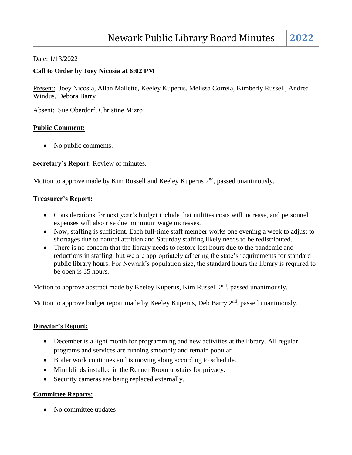#### Date: 1/13/2022

### **Call to Order by Joey Nicosia at 6:02 PM**

Present: Joey Nicosia, Allan Mallette, Keeley Kuperus, Melissa Correia, Kimberly Russell, Andrea Windus, Debora Barry

Absent: Sue Oberdorf, Christine Mizro

#### **Public Comment:**

• No public comments.

#### **Secretary's Report:** Review of minutes.

Motion to approve made by Kim Russell and Keeley Kuperus 2<sup>nd</sup>, passed unanimously.

#### **Treasurer's Report:**

- Considerations for next year's budget include that utilities costs will increase, and personnel expenses will also rise due minimum wage increases.
- Now, staffing is sufficient. Each full-time staff member works one evening a week to adjust to shortages due to natural attrition and Saturday staffing likely needs to be redistributed.
- There is no concern that the library needs to restore lost hours due to the pandemic and reductions in staffing, but we are appropriately adhering the state's requirements for standard public library hours. For Newark's population size, the standard hours the library is required to be open is 35 hours.

Motion to approve abstract made by Keeley Kuperus, Kim Russell 2<sup>nd</sup>, passed unanimously.

Motion to approve budget report made by Keeley Kuperus, Deb Barry 2<sup>nd</sup>, passed unanimously.

#### **Director's Report:**

- December is a light month for programming and new activities at the library. All regular programs and services are running smoothly and remain popular.
- Boiler work continues and is moving along according to schedule.
- Mini blinds installed in the Renner Room upstairs for privacy.
- Security cameras are being replaced externally.

## **Committee Reports:**

• No committee updates